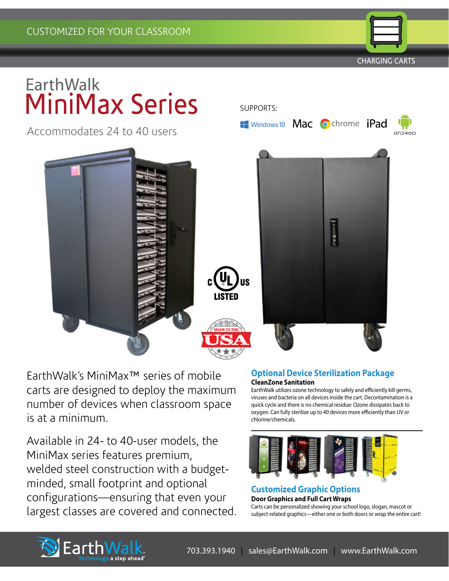CHARGING CARTS

closcup

# **EarthWalk** MiniMax Series

Accommodates 24 to 40 users



SUPPORTS:

Windows10 Mac Ochrome iPad

EarthWalk's MiniMax™ series of mobile carts are designed to deploy the maximum number of devices when classroom space is at a minimum.

Available in 24- to 40-user models, the MiniMax series features premium, welded steel construction with a budgetminded, small footprint and optional configurations—ensuring that even your largest classes are covered and connected.

# **Optional Device Sterilization Package CleanZone Sanitation**

EarthWalk utilizes ozone technology to safely and efficiently kill germs, viruses and bacteria on all devices inside the cart. Decontamination is a quick cycle and there is no chemical residue: Ozone dissipates back to oxygen. Can fully sterilize up to 40 devices more efficiently than UV or chlorine/chemicals.



## **Customized Graphic Options Door Graphics and Full Cart Wraps** Carts can be personalized showing your school logo, slogan, mascot or subject-related graphics—either one or both doors or wrap the entire cart!